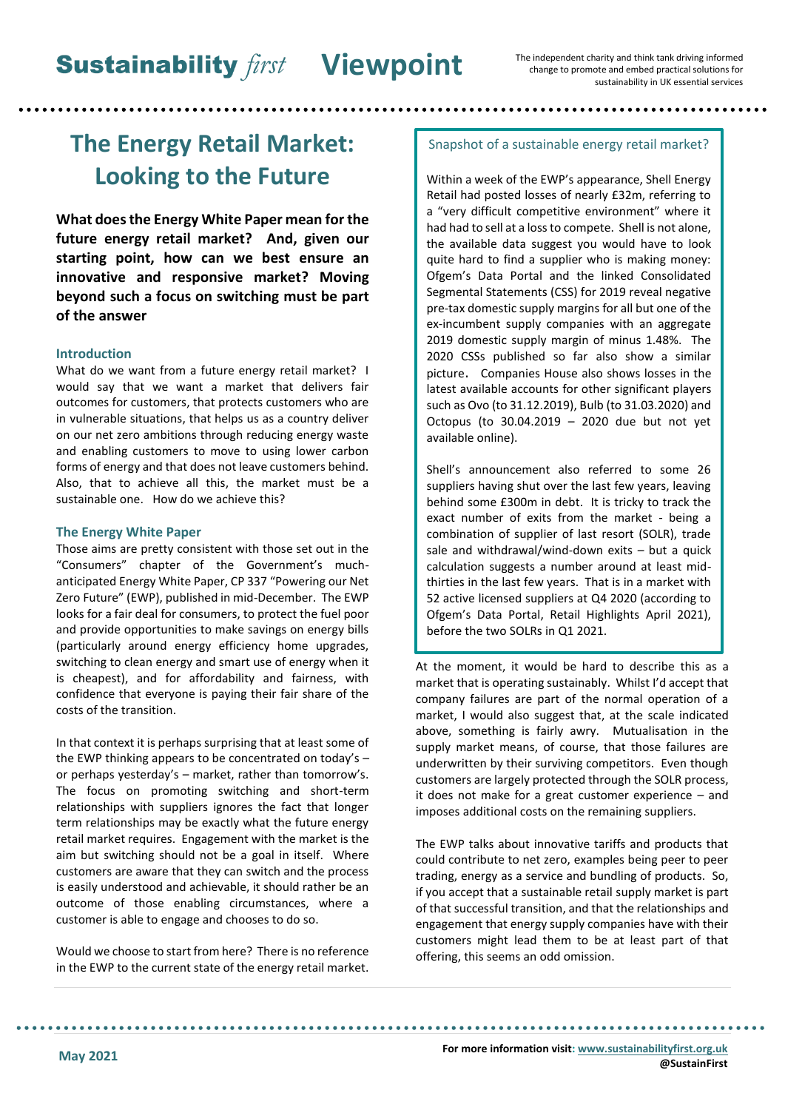# **The Energy Retail Market: Looking to the Future**

**What does the Energy White Paper mean for the future energy retail market? And, given our starting point, how can we best ensure an innovative and responsive market? Moving beyond such a focus on switching must be part of the answer**

## **Introduction**

What do we want from a future energy retail market? I would say that we want a market that delivers fair outcomes for customers, that protects customers who are in vulnerable situations, that helps us as a country deliver on our net zero ambitions through reducing energy waste and enabling customers to move to using lower carbon forms of energy and that does not leave customers behind. Also, that to achieve all this, the market must be a sustainable one. How do we achieve this?

#### **The Energy White Paper**

Those aims are pretty consistent with those set out in the "Consumers" chapter of the Government's muchanticipated Energy White Paper, CP 337 "Powering our Net Zero Future" (EWP), published in mid-December. The EWP looks for a fair deal for consumers, to protect the fuel poor and provide opportunities to make savings on energy bills (particularly around energy efficiency home upgrades, switching to clean energy and smart use of energy when it is cheapest), and for affordability and fairness, with confidence that everyone is paying their fair share of the costs of the transition.

In that context it is perhaps surprising that at least some of the EWP thinking appears to be concentrated on today's – or perhaps yesterday's – market, rather than tomorrow's. The focus on promoting switching and short-term relationships with suppliers ignores the fact that longer term relationships may be exactly what the future energy retail market requires. Engagement with the market is the aim but switching should not be a goal in itself. Where customers are aware that they can switch and the process is easily understood and achievable, it should rather be an outcome of those enabling circumstances, where a customer is able to engage and chooses to do so.

Would we choose to start from here? There is no reference in the EWP to the current state of the energy retail market.

#### Snapshot of a sustainable energy retail market?

Within a week of the EWP's appearance, Shell Energy Retail had posted losses of nearly £32m, referring to a "very difficult competitive environment" where it had had to sell at a loss to compete. Shell is not alone, the available data suggest you would have to look quite hard to find a supplier who is making money: Ofgem's Data Portal and the linked Consolidated Segmental Statements (CSS) for 2019 reveal negative pre-tax domestic supply margins for all but one of the ex-incumbent supply companies with an aggregate 2019 domestic supply margin of minus 1.48%. The 2020 CSSs published so far also show a similar picture. Companies House also shows losses in the latest available accounts for other significant players such as Ovo (to 31.12.2019), Bulb (to 31.03.2020) and Octopus (to 30.04.2019 – 2020 due but not yet available online).

Shell's announcement also referred to some 26 suppliers having shut over the last few years, leaving behind some £300m in debt. It is tricky to track the exact number of exits from the market - being a combination of supplier of last resort (SOLR), trade sale and withdrawal/wind-down exits – but a quick calculation suggests a number around at least midthirties in the last few years. That is in a market with 52 active licensed suppliers at Q4 2020 (according to Ofgem's Data Portal, Retail Highlights April 2021), before the two SOLRs in Q1 2021.

At the moment, it would be hard to describe this as a market that is operating sustainably. Whilst I'd accept that company failures are part of the normal operation of a market, I would also suggest that, at the scale indicated above, something is fairly awry. Mutualisation in the supply market means, of course, that those failures are underwritten by their surviving competitors. Even though customers are largely protected through the SOLR process, it does not make for a great customer experience – and imposes additional costs on the remaining suppliers.

The EWP talks about innovative tariffs and products that could contribute to net zero, examples being peer to peer trading, energy as a service and bundling of products. So, if you accept that a sustainable retail supply market is part of that successful transition, and that the relationships and engagement that energy supply companies have with their customers might lead them to be at least part of that offering, this seems an odd omission.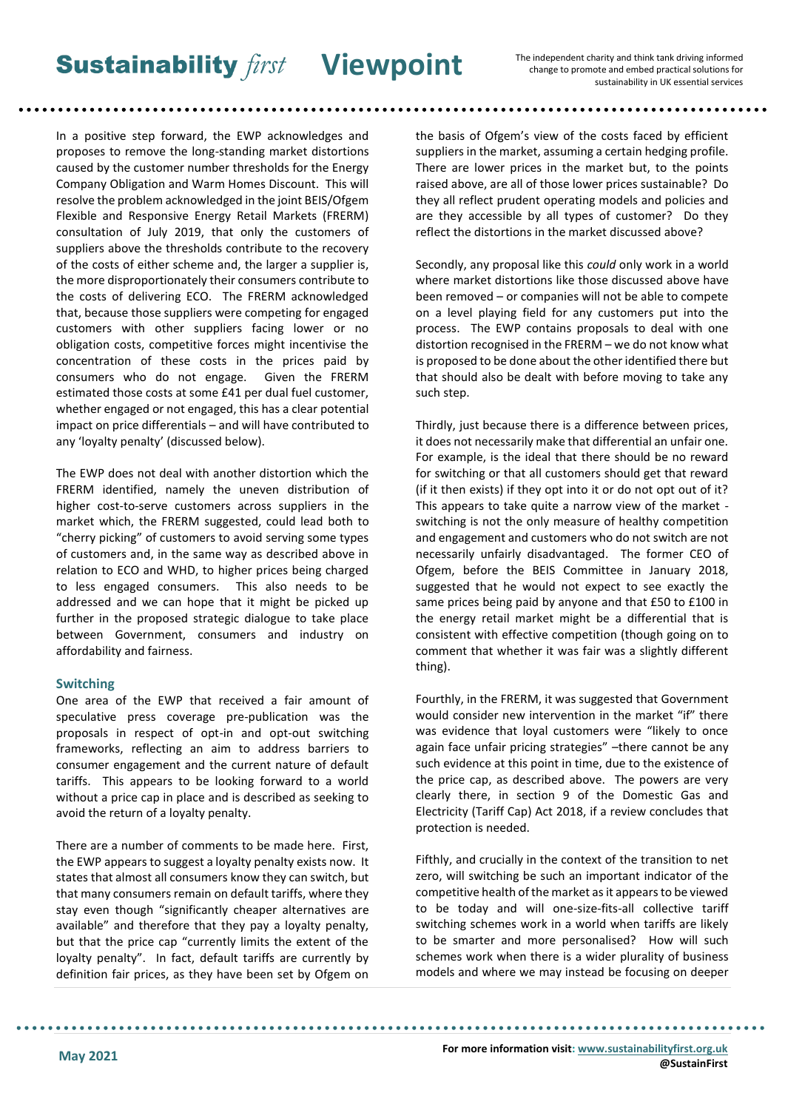**Sustainability** *first* Viewpoint

The independent charity and think tank driving informed change to promote and embed practical solutions for sustainability in UK essential services

In a positive step forward, the EWP acknowledges and proposes to remove the long-standing market distortions caused by the customer number thresholds for the Energy Company Obligation and Warm Homes Discount. This will resolve the problem acknowledged in the joint BEIS/Ofgem Flexible and Responsive Energy Retail Markets (FRERM) consultation of July 2019, that only the customers of suppliers above the thresholds contribute to the recovery of the costs of either scheme and, the larger a supplier is, the more disproportionately their consumers contribute to the costs of delivering ECO. The FRERM acknowledged that, because those suppliers were competing for engaged customers with other suppliers facing lower or no obligation costs, competitive forces might incentivise the concentration of these costs in the prices paid by consumers who do not engage. Given the FRERM estimated those costs at some £41 per dual fuel customer, whether engaged or not engaged, this has a clear potential impact on price differentials – and will have contributed to any 'loyalty penalty' (discussed below).

The EWP does not deal with another distortion which the FRERM identified, namely the uneven distribution of higher cost-to-serve customers across suppliers in the market which, the FRERM suggested, could lead both to "cherry picking" of customers to avoid serving some types of customers and, in the same way as described above in relation to ECO and WHD, to higher prices being charged to less engaged consumers. This also needs to be addressed and we can hope that it might be picked up further in the proposed strategic dialogue to take place between Government, consumers and industry on affordability and fairness.

#### **Switching**

One area of the EWP that received a fair amount of speculative press coverage pre-publication was the proposals in respect of opt-in and opt-out switching frameworks, reflecting an aim to address barriers to consumer engagement and the current nature of default tariffs. This appears to be looking forward to a world without a price cap in place and is described as seeking to avoid the return of a loyalty penalty.

There are a number of comments to be made here. First, the EWP appears to suggest a loyalty penalty exists now. It states that almost all consumers know they can switch, but that many consumers remain on default tariffs, where they stay even though "significantly cheaper alternatives are available" and therefore that they pay a loyalty penalty, but that the price cap "currently limits the extent of the loyalty penalty". In fact, default tariffs are currently by definition fair prices, as they have been set by Ofgem on

the basis of Ofgem's view of the costs faced by efficient suppliers in the market, assuming a certain hedging profile. There are lower prices in the market but, to the points raised above, are all of those lower prices sustainable? Do they all reflect prudent operating models and policies and are they accessible by all types of customer? Do they reflect the distortions in the market discussed above?

Secondly, any proposal like this *could* only work in a world where market distortions like those discussed above have been removed – or companies will not be able to compete on a level playing field for any customers put into the process. The EWP contains proposals to deal with one distortion recognised in the FRERM – we do not know what is proposed to be done about the other identified there but that should also be dealt with before moving to take any such step.

Thirdly, just because there is a difference between prices, it does not necessarily make that differential an unfair one. For example, is the ideal that there should be no reward for switching or that all customers should get that reward (if it then exists) if they opt into it or do not opt out of it? This appears to take quite a narrow view of the market switching is not the only measure of healthy competition and engagement and customers who do not switch are not necessarily unfairly disadvantaged. The former CEO of Ofgem, before the BEIS Committee in January 2018, suggested that he would not expect to see exactly the same prices being paid by anyone and that £50 to £100 in the energy retail market might be a differential that is consistent with effective competition (though going on to comment that whether it was fair was a slightly different thing).

Fourthly, in the FRERM, it was suggested that Government would consider new intervention in the market "if" there was evidence that loyal customers were "likely to once again face unfair pricing strategies" –there cannot be any such evidence at this point in time, due to the existence of the price cap, as described above. The powers are very clearly there, in section 9 of the Domestic Gas and Electricity (Tariff Cap) Act 2018, if a review concludes that protection is needed.

Fifthly, and crucially in the context of the transition to net zero, will switching be such an important indicator of the competitive health of the market as it appears to be viewed to be today and will one-size-fits-all collective tariff switching schemes work in a world when tariffs are likely to be smarter and more personalised? How will such schemes work when there is a wider plurality of business models and where we may instead be focusing on deeper